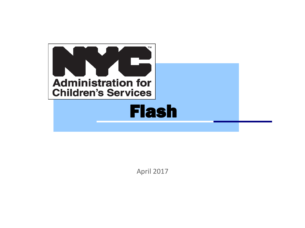

April 2017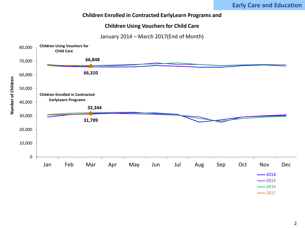# **Children Enrolled in Contracted EarlyLearn Programs and**

## **Children Using Vouchers for Child Care**

January 2014 – March 2017(End of Month)



 $-2016$  $-2017$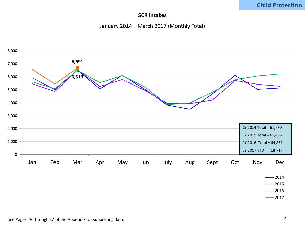# **Child Protection**

# **SCR Intakes**

## January 2014 – March 2017 (Monthly Total)



 $-2017$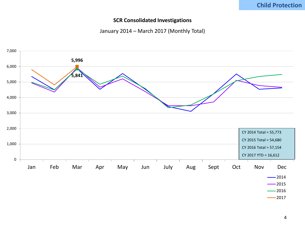# **Child Protection**

#### **SCR Consolidated Investigations**

## January 2014 – March 2017 (Monthly Total)



 $-2017$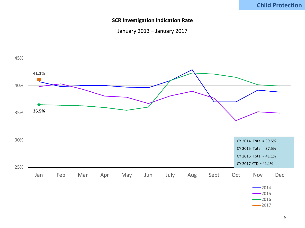#### **SCR Investigation Indication Rate**

January 2013 – January 2017

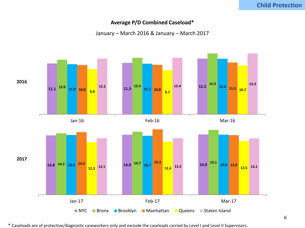#### **Average P/D Combined Caseload\***

January – March 2016 & January – March 2017



\* Caseloads are of protective/diagnostic caseworkers only and exclude the caseloads carried by Level I and Level II Supervisors.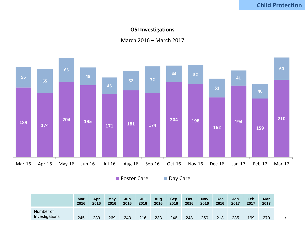## **OSI Investigations**

## March 2016 – March 2017



■ Foster Care ■ Day Care

**Mar Apr May Jun Jul Aug Sep Oct Nov Dec Jan Feb Mar** Number of Investigations 245 239 269 243 216 233 246 248 250 213 235 199 270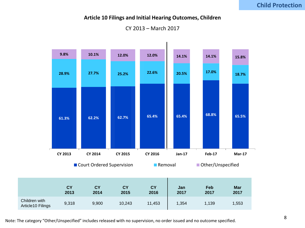# **Child Protection**

#### **Article 10 Filings and Initial Hearing Outcomes, Children**

CY 2013 – March 2017



Note: The category "Other/Unspecified" includes released with no supervision, no order issued and no outcome specified.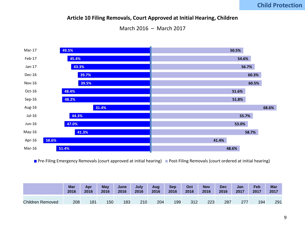# **Child Protection**

#### **Article 10 Filing Removals, Court Approved at Initial Hearing, Children**

March 2016 – March 2017



**Pre-Filing Emergency Removals (court approved at initial hearing)** Post-Filing Removals (court ordered at initial hearing)

|                         | <b>Mar</b> | Apr  | May  | June | July | Aug  | Sep  | Oct  | <b>Nov</b> | <b>Dec</b> | Jan  | Feb  | <b>Mar</b> |
|-------------------------|------------|------|------|------|------|------|------|------|------------|------------|------|------|------------|
|                         | 2016       | 2016 | 2016 | 2016 | 2016 | 2016 | 2016 | 2016 | 2016       | 2016       | 2017 | 2017 | 2017       |
| <b>Children Removed</b> | 208        | 181  | 150  | 183  | 210  | 204  | 199  | 312  | 223        | 287        | 277  | 194  | 291        |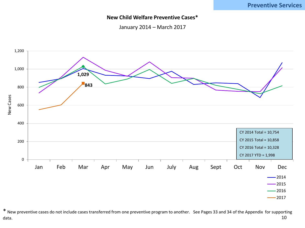# **Preventive Services**

#### **New Child Welfare Preventive Cases\***

January 2014 – March 2017



\* New preventive cases do not include cases transferred from one preventive program to another. See Pages 33 and 34 of the Appendix for supporting data. 10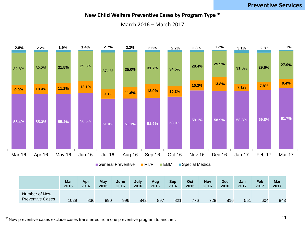# **Preventive Services**

## **New Child Welfare Preventive Cases by Program Type \***

March 2016 – March 2017



|                                          | <b>Mar</b> | Apr  | May  | <b>June</b> | July | Aug  | <b>Sep</b> | Oct  | <b>Nov</b> | <b>Dec</b> | Jan  | Feb  | Mar  |
|------------------------------------------|------------|------|------|-------------|------|------|------------|------|------------|------------|------|------|------|
|                                          | 2016       | 2016 | 2016 | 2016        | 2016 | 2016 | 2016       | 2016 | 2016       | 2016       | 2017 | 2017 | 2017 |
| Number of New<br><b>Preventive Cases</b> | 1029       | 836  | 890  | 996         | 842  | 897  | 821        | 776  | 728        | 816        | 551  | 604  | 843  |

<sup>\*</sup> New preventive cases exclude cases transferred from one preventive program to another.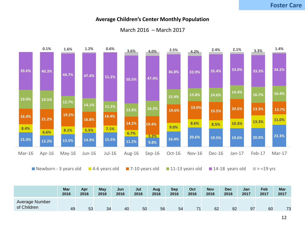#### **Average Children's Center Monthly Population**



## March 2016 – March 2017

|                               | Mar  | Apr  | <b>May</b> | Jun  | Jul  | Aug  | <b>Sep</b> | Oct  | <b>Nov</b> | <b>Dec</b> | Jan  | Feb  | Mar       |
|-------------------------------|------|------|------------|------|------|------|------------|------|------------|------------|------|------|-----------|
|                               | 2016 | 2016 | 2016       | 2016 | 2016 | 2016 | 2016       | 2016 | 2016       | 2016       | 2017 | 2017 | 2017      |
| Average Number<br>of Children | 49   | 53   | 34         | 40   | 50   | 56   | 54         | 74   | 62         | 82         | 97   | 60   | 72<br>ں ، |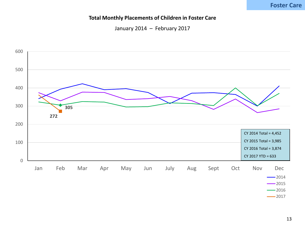# **Foster Care**

#### **Total Monthly Placements of Children in Foster Care**

January 2014 – February 2017

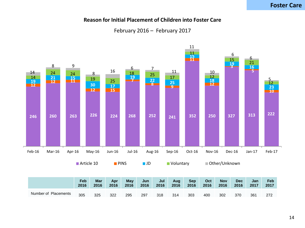# **Foster Care**

#### **Reason for Initial Placement of Children into Foster Care**

February 2016 – February 2017

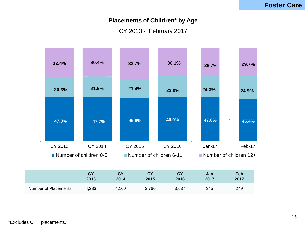# **Placements of Children\* by Age**

CY 2013 - February 2017

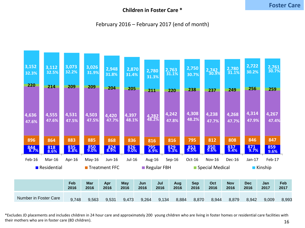# **Children in Foster Care \***

# February 2016 – February 2017 (end of month)



\*Excludes JD placements and includes children in 24 hour care and approximately 200 young children who are living in foster homes or residential care facilities with their mothers who are in foster care (8D children). 16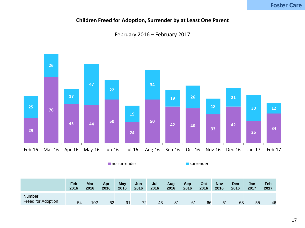# **Children Freed for Adoption, Surrender by at Least One Parent**





|                                            | Feb  | <b>Mar</b> | Apr  | May  | Jun  | Jul  | Aug  | <b>Sep</b> | Oct  | <b>Nov</b> | <b>Dec</b> | Jan  | Feb  |
|--------------------------------------------|------|------------|------|------|------|------|------|------------|------|------------|------------|------|------|
|                                            | 2016 | 2016       | 2016 | 2016 | 2016 | 2016 | 2016 | 2016       | 2016 | 2016       | 2016       | 2017 | 2017 |
| <b>Number</b><br><b>Freed for Adoption</b> | 54   | 102        | 62   | 91   | 72   | 43   | 81   | 61         | 66   | 51         | 63         | 55   | 46   |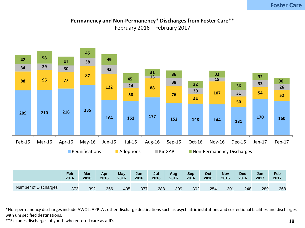# **Foster Care**

# **Permanency and Non-Permanency\* Discharges from Foster Care\*\***

February 2016 – February 2017



\*Non-permanency discharges include AWOL, APPLA , other discharge destinations such as psychiatric institutions and correctional facilities and discharges with unspecified destinations.

\*\*Excludes discharges of youth who entered care as a JD.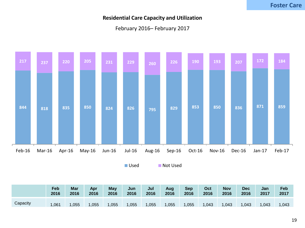# **Residential Care Capacity and Utilization**

# February 2016– February 2017



■ Used ■ Not Used

|          | Feb  | Mar  | Apr  | May  | Jun  | Jul  | Aug  | <b>Sep</b> | Oct   | <b>Nov</b> | <b>Dec</b> | Jan  | Feb   |
|----------|------|------|------|------|------|------|------|------------|-------|------------|------------|------|-------|
|          | 2016 | 2016 | 2016 | 2016 | 2016 | 2016 | 2016 | 2016       | 2016  | 2016       | 2016       | 2017 | 2017  |
| Capacity | ,061 | ,055 | ,055 | ,055 | ,055 | ,055 | ,055 | ,055       | 1,043 | 1,043      | ,043       | ,043 | 1,043 |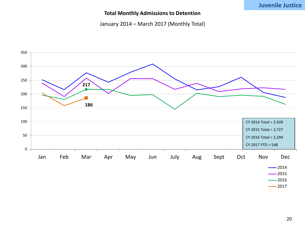# **Juvenile Justice**

## **Total Monthly Admissions to Detention**

January 2014 – March 2017 (Monthly Total)



 $-2017$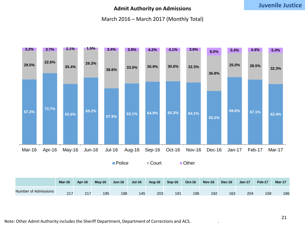## **Admit Authority on Admissions**

## March 2016 – March 2017 (Monthly Total)

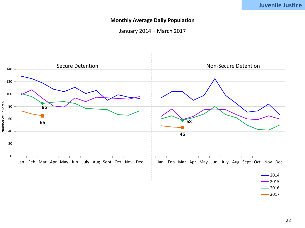## **Monthly Average Daily Population**

January 2014 – March 2017

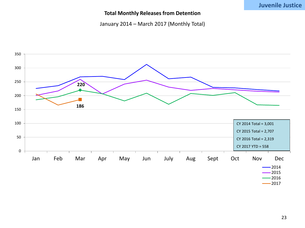## **Total Monthly Releases from Detention**

January 2014 – March 2017 (Monthly Total)

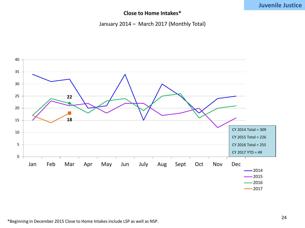# **Juvenile Justice**

# **Close to Home Intakes\***

## January 2014 – March 2017 (Monthly Total)

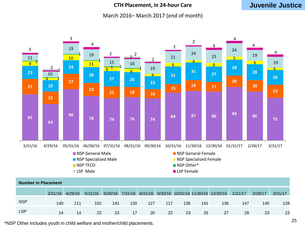## **CTH Placement, in 24-hour Care**

# **Juvenile Justice**

#### March 2016– March 2017 (end of month)



|            | 3/31/16 | 4/29/16 | 5/31/16 |     |     |     |     |     |     | 6/30/16 7/31/16 8/31/16 9/30/16 10/31/16 11/30/16 12/30/16 | 1/31/17 | 2/28/17 | 3/31/17 |
|------------|---------|---------|---------|-----|-----|-----|-----|-----|-----|------------------------------------------------------------|---------|---------|---------|
| <b>NSP</b> | 140     | 111     | 152     | 141 | 130 | 127 | 117 | 136 | 141 | 136                                                        | 147     | 140     | 128     |
| <b>LSP</b> | 14      | 14      | 22      | 23  | 17  | 20  | 22  | 23  | 26  | 27                                                         | 28      | 23      | 23      |

\*NSP Other includes youth in child welfare and mother/child placements.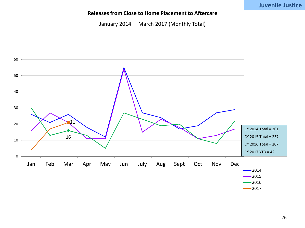# **Juvenile Justice**

## **Releases from Close to Home Placement to Aftercare**

January 2014 – March 2017 (Monthly Total)

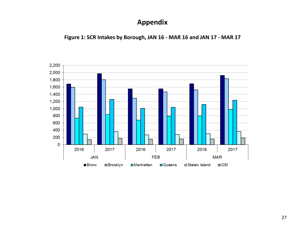# **Appendix**

**Figure 1: SCR Intakes by Borough, JAN 16 - MAR 16 and JAN 17 - MAR 17**

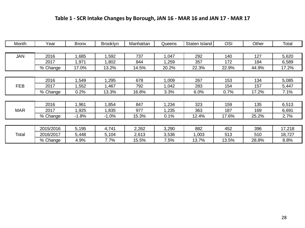# **Table 1 - SCR Intake Changes by Borough, JAN 16 - MAR 16 and JAN 17 - MAR 17**

| Month      | Year      | <b>Bronx</b> | <b>Brooklyn</b> | Manhattan | Queens | Staten Island | <b>OSI</b> | Other | Total  |
|------------|-----------|--------------|-----------------|-----------|--------|---------------|------------|-------|--------|
|            |           |              |                 |           |        |               |            |       |        |
| <b>JAN</b> | 2016      | 1,685        | 1,592           | 737       | 1,047  | 292           | 140        | 127   | 5,620  |
|            | 2017      | 1,971        | 1,802           | 844       | 1,259  | 357           | 172        | 184   | 6,589  |
|            | % Change  | 17.0%        | 13.2%           | 14.5%     | 20.2%  | 22.3%         | 22.9%      | 44.9% | 17.2%  |
|            |           |              |                 |           |        |               |            |       |        |
|            | 2016      | .549         | 1,295           | 678       | 1,009  | 267           | 153        | 134   | 5,085  |
| <b>FEB</b> | 2017      | 1,552        | 1,467           | 792       | 1,042  | 283           | 154        | 157   | 5,447  |
|            | % Change  | 0.2%         | 13.3%           | 16.8%     | 3.3%   | 6.0%          | 0.7%       | 17.2% | 7.1%   |
|            |           |              |                 |           |        |               |            |       |        |
|            | 2016      | ,961         | 1,854           | 847       | 1,234  | 323           | 159        | 135   | 6,513  |
| <b>MAR</b> | 2017      | 1,925        | 1,835           | 977       | 1,235  | 363           | 187        | 169   | 6,691  |
|            | % Change  | $-1.8%$      | $-1.0%$         | 15.3%     | 0.1%   | 12.4%         | 17.6%      | 25.2% | 2.7%   |
|            |           |              |                 |           |        |               |            |       |        |
|            | 2015/2016 | 5,195        | 4,741           | 2,262     | 3,290  | 882           | 452        | 396   | 17,218 |
| Total      | 2016/2017 | 5,448        | 5,104           | 2,613     | 3,536  | 1,003         | 513        | 510   | 18,727 |
|            | % Change  | 4.9%         | 7.7%            | 15.5%     | 7.5%   | 13.7%         | 13.5%      | 28.8% | 8.8%   |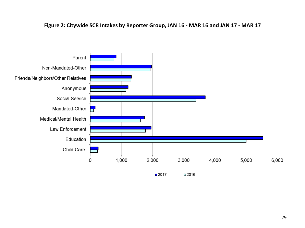## **Figure 2: Citywide SCR Intakes by Reporter Group, JAN 16 - MAR 16 and JAN 17 - MAR 17**

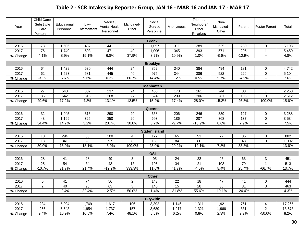# **Table 2 - SCR Intakes by Reporter Group, JAN 16 - MAR 16 and JAN 17 - MAR 17**

| Year                   | Child Care/<br>Substitute<br>Care<br>Personnel | Educational<br>Personnel | Law<br>Enforcement | Medical/<br>Mental Health<br>Personnel | Mandated-<br>Other | Social<br>Service<br>Personnel | Anonymous      | Friends/<br>Neighbors/<br>Other<br>Relatives | Non-<br>Mandated-<br>Other | Parent     | <b>Foster Parent</b>     | Total          |
|------------------------|------------------------------------------------|--------------------------|--------------------|----------------------------------------|--------------------|--------------------------------|----------------|----------------------------------------------|----------------------------|------------|--------------------------|----------------|
|                        |                                                |                          |                    |                                        |                    | <b>Bronx</b>                   |                |                                              |                            |            |                          |                |
| 2016                   | 73                                             | 1,606                    | 437                | 441                                    | 29                 | 1,057                          | 311            | 389                                          | 625                        | 230        | 0                        | 5,198          |
| 2017                   | 76                                             | 1,749                    | 503                | 471                                    | 40                 | 1,096                          | 345            | 393                                          | 571                        | 205        | 1                        | 5,450          |
| % Change               | 4.1%                                           | 8.9%                     | 15.1%              | 6.8%                                   | 37.9%              | 3.7%                           | 10.9%          | 1.0%                                         | $-8.6%$                    | $-10.9%$   | $\overline{\phantom{a}}$ | 4.8%           |
|                        |                                                |                          |                    |                                        |                    |                                |                |                                              |                            |            |                          |                |
|                        |                                                |                          |                    |                                        |                    | <b>Brooklyn</b>                |                |                                              |                            |            |                          |                |
| 2016<br>2017           | 64<br>62                                       | 1,429                    | 530                | 444                                    | 24<br>40           | 852<br>975                     | 340            | 384                                          | 494<br>522                 | 181<br>226 | 0                        | 4,742          |
| % Change               | $-3.1%$                                        | 1,523<br>6.6%            | 581<br>9.6%        | 445<br>0.2%                            | 66.7%              | 14.4%                          | 344<br>1.2%    | 386<br>0.5%                                  | 5.7%                       | 24.9%      | 0<br>u.                  | 5,104<br>7.6%  |
|                        |                                                |                          |                    |                                        |                    |                                |                |                                              |                            |            |                          |                |
|                        |                                                |                          |                    |                                        |                    | <b>Manhattan</b>               |                |                                              |                            |            |                          |                |
| 2016                   | 27                                             | 548                      | 302                | 237                                    | 24                 | 455                            | 178            | 161                                          | 244                        | 83         |                          | 2,260          |
| 2017                   | 35                                             | 642                      | 315                | 268                                    | 27                 | 524                            | 209            | 206                                          | 281                        | 105        | 0                        | 2,612          |
| % Change               | 29.6%                                          | 17.2%                    | 4.3%               | 13.1%                                  | 12.5%              | 15.2%                          | 17.4%          | 28.0%                                        | 15.2%                      | 26.5%      | $-100.0%$                | 15.6%          |
|                        |                                                |                          |                    |                                        |                    | Queens                         |                |                                              |                            |            |                          |                |
| 2016                   | 32                                             | 1,045                    | 315                | 290                                    | 20                 | 668                            | 206            | 246                                          | 339                        | 127        | 0                        | 3,288          |
| 2017                   | 43                                             | 1,199                    | 325                | 350                                    | 26                 | 693                            | 186            | 207                                          | 368                        | 137        | 0                        | 3,534          |
| % Change               | 34.4%                                          | 14.7%                    | 3.2%               | 20.7%                                  | 30.0%              | 3.7%                           | $-9.7%$        | $-15.9%$                                     | 8.6%                       | 7.9%       | Щ.                       | 7.5%           |
|                        |                                                |                          |                    |                                        |                    |                                |                |                                              |                            |            |                          |                |
|                        |                                                |                          |                    |                                        |                    | <b>Staten Island</b>           |                |                                              |                            |            |                          |                |
| 2016                   | 10                                             | 294                      | 83                 | 100                                    | 4                  | 122                            | 65             | 91                                           | 77                         | 36         | 0                        | 882            |
| 2017                   | 13<br>30.0%                                    | 341                      | $\overline{98}$    | 97<br>$-3.0%$                          | 8                  | 150<br>23.0%                   | 84             | 80                                           | 83<br>7.8%                 | 48         | $\mathsf 0$<br>u.        | 1,002          |
| % Change               |                                                | 16.0%                    | 18.1%              |                                        | 100.0%             |                                | 29.2%          | $-12.1%$                                     |                            | 33.3%      |                          | 13.6%          |
|                        |                                                |                          |                    |                                        |                    | <b>OSI</b>                     |                |                                              |                            |            |                          |                |
| 2016                   | 28                                             | 41                       | 28                 | 49                                     | 3                  | 95                             | 24             | 22                                           | 95                         | 63         | 3                        | 451            |
| 2017                   | $\overline{25}$                                | 54                       | 34                 | 43                                     | 13                 | 106                            | 34             | $\overline{21}$                              | 103                        | 79         | $\mathbf{1}$             | 513            |
| $\overline{\%}$ Change | $-10.7%$                                       | 31.7%                    | 21.4%              | $-12.2%$                               | 333.3%             | 11.6%                          | 41.7%          | $-4.5%$                                      | 8.4%                       | 25.4%      | $-66.7%$                 | 13.7%          |
|                        |                                                |                          |                    |                                        |                    | <b>Other</b>                   |                |                                              |                            |            |                          |                |
| 2016                   | 0                                              | 41                       | 74                 | 56                                     | $\overline{c}$     | 143                            | 22             | 18                                           | 47                         | 41         | 0                        | 444            |
| 2017                   | $\overline{2}$                                 | 40                       | 98                 | 63                                     | 3                  | 145                            | 15             | 28                                           | 38                         | 31         | $\mathbf 0$              | 463            |
| % Change               | $\overline{\phantom{a}}$                       | $-2.4%$                  | 32.4%              | 12.5%                                  | 50.0%              | 1.4%                           | $-31.8%$       | 55.6%                                        | $-19.1%$                   | $-24.4%$   | $\overline{\phantom{a}}$ | 4.3%           |
|                        |                                                |                          |                    |                                        |                    |                                |                |                                              |                            |            |                          |                |
|                        |                                                |                          |                    |                                        |                    | <b>Citywide</b>                |                |                                              |                            |            |                          |                |
| 2016<br>2017           | 234<br>256                                     | 5,004<br>5,548           | 1,769<br>1,954     | 1,617<br>1,737                         | 106<br>157         | 3,392<br>3,689                 | 1,146<br>1,217 | 1,311<br>1,321                               | 1,921                      | 761<br>831 | 4<br>$\overline{2}$      | 17,265         |
|                        | 9.4%                                           | 10.9%                    | 10.5%              | 7.4%                                   | 48.1%              | 8.8%                           | 6.2%           | 0.8%                                         | 1,966<br>2.3%              | 9.2%       | $-50.0%$                 | 18,678<br>8.2% |
| % Change               |                                                |                          |                    |                                        |                    |                                |                |                                              |                            |            |                          |                |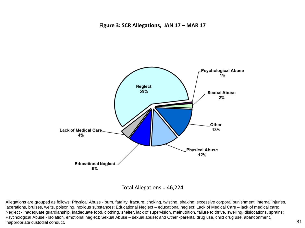

Total Allegations = 46,224

Allegations are grouped as follows: Physical Abuse - burn, fatality, fracture, choking, twisting, shaking, excessive corporal punishment, internal injuries, lacerations, bruises, welts, poisoning, noxious substances; Educational Neglect – educational neglect; Lack of Medical Care – lack of medical care; Neglect - inadequate guardianship, inadequate food, clothing, shelter, lack of supervision, malnutrition, failure to thrive, swelling, dislocations, sprains; Psychological Abuse - isolation, emotional neglect; Sexual Abuse – sexual abuse; and Other -parental drug use, child drug use, abandonment, inappropriate custodial conduct.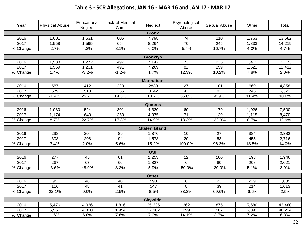# **Table 3 - SCR Allegations, JAN 16 - MAR 16 and JAN 17 - MAR 17**

| Year         | <b>Physical Abuse</b> | Educational<br>Neglect | Lack of Medical<br>Care | Neglect              | Psychological<br>Abuse | Sexual Abuse | Other   | Total   |
|--------------|-----------------------|------------------------|-------------------------|----------------------|------------------------|--------------|---------|---------|
|              |                       |                        |                         | <b>Bronx</b>         |                        |              |         |         |
| 2016         | 1,601                 | 1,531                  | 605                     | 7,798                | 74                     | 210          | 1,763   | 13,582  |
| 2017         | 1,558                 | 1,595                  | 654                     | 8,264                | 70                     | 245          | 1,833   | 14,219  |
| % Change     | $-2.7%$               | 4.2%                   | 8.1%                    | 6.0%                 | $-5.4%$                | 16.7%        | 4.0%    | 4.7%    |
|              |                       |                        |                         | <b>Brooklyn</b>      |                        |              |         |         |
| 2016         | 1,538                 | 1,272                  | 497                     | 7,147                | 73                     | 235          | 1,411   | 12,173  |
| 2017         | 1,559                 | 1,231                  | 491                     | 7,269                | 82                     | 259          | 1,521   | 12,412  |
| % Change     | 1.4%                  | $-3.2%$                | $-1.2%$                 | 1.7%                 | 12.3%                  | 10.2%        | 7.8%    | 2.0%    |
|              |                       |                        |                         | <b>Manhattan</b>     |                        |              |         |         |
| 2016         | 587                   | 412                    | 223                     | 2839                 | 27                     | 101          | 669     | 4,858   |
| 2017         | 579                   | 518                    | 255                     | 3142                 | 42                     | 92           | 745     | 5,373   |
| % Change     | $-1.4%$               | 25.7%                  | 14.3%                   | 10.7%                | 55.6%                  | $-8.9%$      | 11.4%   | 10.6%   |
|              |                       |                        |                         |                      |                        |              |         |         |
|              |                       |                        |                         | <b>Queens</b>        |                        |              |         |         |
| 2016<br>2017 | 1,080                 | 524                    | 301                     | 4,330                | 60<br>$\overline{71}$  | 179          | 1,026   | 7,500   |
|              | 1,174                 | 643                    | 353                     | 4,975                |                        | 139          | 1,115   | 8,470   |
| % Change     | 8.7%                  | 22.7%                  | 17.3%                   | 14.9%                | 18.3%                  | $-22.3%$     | 8.7%    | 12.9%   |
|              |                       |                        |                         | <b>Staten Island</b> |                        |              |         |         |
| 2016         | 298                   | 204                    | 89                      | 1,370                | $10$                   | 27           | 384     | 2,382   |
| 2017         | 308                   | 208                    | $\overline{94}$         | 1,578                | $\overline{20}$        | 53           | 455     | 2,716   |
| % Change     | 3.4%                  | 2.0%                   | 5.6%                    | 15.2%                | 100.0%                 | 96.3%        | 18.5%   | 14.0%   |
|              |                       |                        |                         | <b>OSI</b>           |                        |              |         |         |
| 2016         | 277                   | 45                     | 61                      | 1,253                | 12                     | 100          | 198     | 1,946   |
| 2017         | 267                   | 67                     | 66                      | 1,327                | 6                      | 80           | 208     | 2,021   |
| % Change     | $-3.6%$               | 48.9%                  | 8.2%                    | 5.9%                 | $-50.0%$               | $-20.0%$     | 5.1%    | 3.9%    |
|              |                       |                        |                         | <b>Other</b>         |                        |              |         |         |
| 2016         | 95                    | 48                     | 40                      | 598                  | 6                      | 23           | 229     | 1,039   |
| 2017         | 116                   | 48                     | 41                      | 547                  | 8                      | 39           | 214     | 1,013   |
| % Change     | 22.1%                 | 0.0%                   | 2.5%                    | $-8.5%$              | 33.3%                  | 69.6%        | $-6.6%$ | $-2.5%$ |
|              |                       |                        |                         | <b>Citywide</b>      |                        |              |         |         |
| 2016         | 5,476                 | 4,036                  | 1,816                   | 25,335               | 262                    | 875          | 5,680   | 43,480  |
| 2017         | 5,561                 | 4,310                  | 1,954                   | 27,102               | 299                    | 907          | 6,091   | 46,224  |
| % Change     | 1.6%                  | 6.8%                   | 7.6%                    | 7.0%                 | 14.1%                  | 3.7%         | 7.2%    | 6.3%    |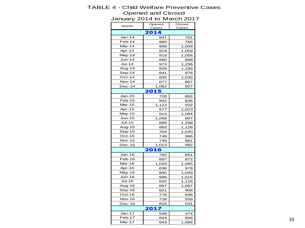#### TABLE 4 - Child Welfare Preventive Cases Opened and Closed January 2014 to March 2017

Month Opened Cases Closed Cases Jan-14 841 761 Feb-14 | 885 785 Mar-14 | 998 1,009 Apr-14 919 1,059 May-14 919 1,056 Jun-14 890 899 Jul-14 973 1,236 Aug-14 | 826 1,189 Sep-14 841 878 Oct-14 | 835 | 1,035 Nov-14 677 887 Dec-14 1,062 927 Jan-15 728 882 Feb-15 902 836 Mar-15 1,122 932 Apr-15 | 977 1,023 May-15 914 1,084 Jun-15 1,068 997 Jul-15 899 1,298 Aug-15 893 1,128 Sep-15 | 764 | 1,040 Oct-15 749 986 Nov-15 | 746 881 Dec-15 1,013 982 Jan-16 792 851 Feb-16 | 897 872 Mar-16 1,029 1,065 Apr-16 836 978 May-16 890 1,049 Jun-16 996 1,015 Jul-16 842 1,126 Aug-16 897 1,087 Sep-16 821 908 Oct-16 776 696 Nov-16 728 558 Dec-16 816 531 Jan-17 | 548 474 Feb-17 604 906 Mar-17 | 843 | 1,086 **2017 2016 2015 2014**